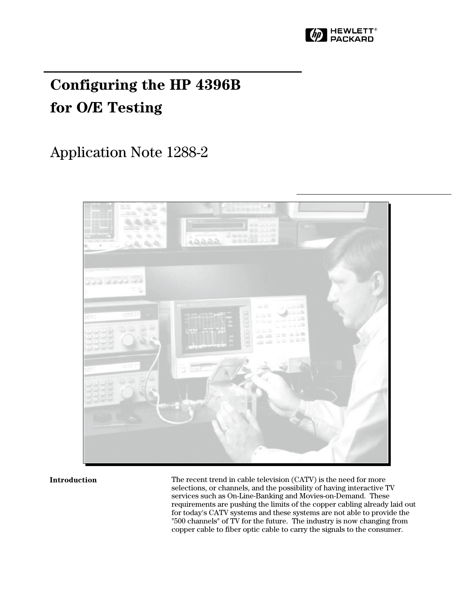

# **Configuring the HP 4396B for O/E Testing**

# Application Note 1288-2



### **Introduction**

The recent trend in cable television (CATV) is the need for more selections, or channels, and the possibility of having interactive TV services such as On-Line-Banking and Movies-on-Demand. These requirements are pushing the limits of the copper cabling already laid out for today's CATV systems and these systems are not able to provide the "500 channels" of TV for the future. The industry is now changing from copper cable to fiber optic cable to carry the signals to the consumer.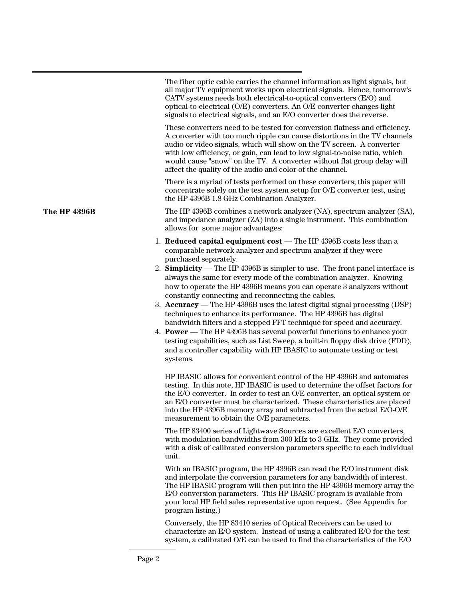|                     | The fiber optic cable carries the channel information as light signals, but<br>all major TV equipment works upon electrical signals. Hence, tomorrow's<br>CATV systems needs both electrical-to-optical converters (E/O) and<br>optical-to-electrical (O/E) converters. An O/E converter changes light<br>signals to electrical signals, and an E/O converter does the reverse.                                                                                                                                                                                                                                                                                                                                                                                                                                                                                                                                                       |
|---------------------|---------------------------------------------------------------------------------------------------------------------------------------------------------------------------------------------------------------------------------------------------------------------------------------------------------------------------------------------------------------------------------------------------------------------------------------------------------------------------------------------------------------------------------------------------------------------------------------------------------------------------------------------------------------------------------------------------------------------------------------------------------------------------------------------------------------------------------------------------------------------------------------------------------------------------------------|
|                     | These converters need to be tested for conversion flatness and efficiency.<br>A converter with too much ripple can cause distortions in the TV channels<br>audio or video signals, which will show on the TV screen. A converter<br>with low efficiency, or gain, can lead to low signal-to-noise ratio, which<br>would cause "snow" on the TV. A converter without flat group delay will<br>affect the quality of the audio and color of the channel.                                                                                                                                                                                                                                                                                                                                                                                                                                                                                |
|                     | There is a myriad of tests performed on these converters; this paper will<br>concentrate solely on the test system setup for O/E converter test, using<br>the HP 4396B 1.8 GHz Combination Analyzer.                                                                                                                                                                                                                                                                                                                                                                                                                                                                                                                                                                                                                                                                                                                                  |
| <b>The HP 4396B</b> | The HP 4396B combines a network analyzer (NA), spectrum analyzer (SA),<br>and impedance analyzer (ZA) into a single instrument. This combination<br>allows for some major advantages:                                                                                                                                                                                                                                                                                                                                                                                                                                                                                                                                                                                                                                                                                                                                                 |
|                     | 1. Reduced capital equipment cost — The HP 4396B costs less than a<br>comparable network analyzer and spectrum analyzer if they were<br>purchased separately.<br>2. Simplicity — The HP 4396B is simpler to use. The front panel interface is<br>always the same for every mode of the combination analyzer. Knowing<br>how to operate the HP 4396B means you can operate 3 analyzers without<br>constantly connecting and reconnecting the cables.<br>3. Accuracy — The HP 4396B uses the latest digital signal processing (DSP)<br>techniques to enhance its performance. The HP 4396B has digital<br>bandwidth filters and a stepped FFT technique for speed and accuracy.<br>4. <b>Power</b> — The HP 4396B has several powerful functions to enhance your<br>testing capabilities, such as List Sweep, a built-in floppy disk drive (FDD),<br>and a controller capability with HP IBASIC to automate testing or test<br>systems. |
|                     | HP IBASIC allows for convenient control of the HP 4396B and automates<br>testing. In this note, HP IBASIC is used to determine the offset factors for<br>the E/O converter. In order to test an O/E converter, an optical system or<br>an E/O converter must be characterized. These characteristics are placed<br>into the HP 4396B memory array and subtracted from the actual E/O-O/E<br>measurement to obtain the O/E parameters.                                                                                                                                                                                                                                                                                                                                                                                                                                                                                                 |
|                     | The HP 83400 series of Lightwave Sources are excellent E/O converters,<br>with modulation bandwidths from 300 kHz to 3 GHz. They come provided<br>with a disk of calibrated conversion parameters specific to each individual<br>unit.                                                                                                                                                                                                                                                                                                                                                                                                                                                                                                                                                                                                                                                                                                |
|                     | With an IBASIC program, the HP 4396B can read the E/O instrument disk<br>and interpolate the conversion parameters for any bandwidth of interest.<br>The HP IBASIC program will then put into the HP 4396B memory array the<br>E/O conversion parameters. This HP IBASIC program is available from<br>your local HP field sales representative upon request. (See Appendix for<br>program listing.)                                                                                                                                                                                                                                                                                                                                                                                                                                                                                                                                   |
|                     | Conversely, the HP 83410 series of Optical Receivers can be used to<br>characterize an E/O system. Instead of using a calibrated E/O for the test<br>system, a calibrated O/E can be used to find the characteristics of the E/O                                                                                                                                                                                                                                                                                                                                                                                                                                                                                                                                                                                                                                                                                                      |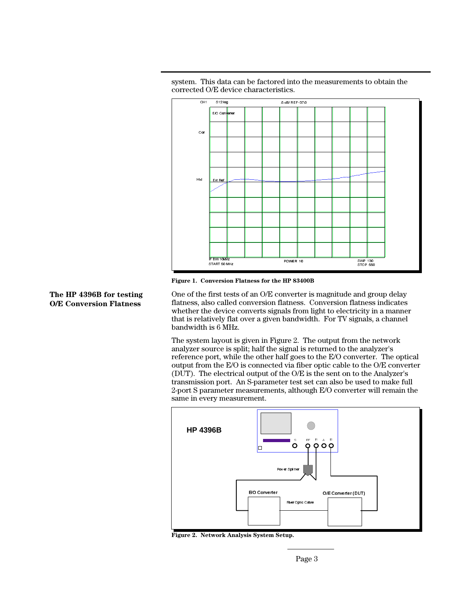



**Figure 1. Conversion Flatness for the HP 83400B**

**The HP 4396B for testing O/E Conversion Flatness**

One of the first tests of an O/E converter is magnitude and group delay flatness, also called conversion flatness. Conversion flatness indicates whether the device converts signals from light to electricity in a manner that is relatively flat over a given bandwidth. For TV signals, a channel bandwidth is 6 MHz.

The system layout is given in Figure 2. The output from the network analyzer source is split; half the signal is returned to the analyzer's reference port, while the other half goes to the E/O converter. The optical output from the E/O is connected via fiber optic cable to the O/E converter (DUT). The electrical output of the O/E is the sent on to the Analyzer's transmission port. An S-parameter test set can also be used to make full 2-port S parameter measurements, although E/O converter will remain the same in every measurement.



**Figure 2. Network Analysis System Setup.**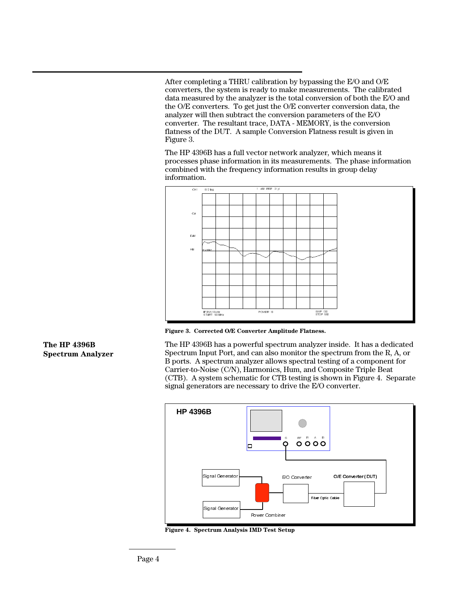After completing a THRU calibration by bypassing the E/O and O/E converters, the system is ready to make measurements. The calibrated data measured by the analyzer is the total conversion of both the E/O and the O/E converters. To get just the O/E converter conversion data, the analyzer will then subtract the conversion parameters of the E/O converter. The resultant trace, DATA - MEMORY, is the conversion flatness of the DUT. A sample Conversion Flatness result is given in Figure 3.

The HP 4396B has a full vector network analyzer, which means it processes phase information in its measurements. The phase information combined with the frequency information results in group delay information.



**Figure 3. Corrected O/E Converter Amplitude Flatness.**

The HP 4396B has a powerful spectrum analyzer inside. It has a dedicated Spectrum Input Port, and can also monitor the spectrum from the R, A, or B ports. A spectrum analyzer allows spectral testing of a component for Carrier-to-Noise (C/N), Harmonics, Hum, and Composite Triple Beat (CTB). A system schematic for CTB testing is shown in Figure 4. Separate signal generators are necessary to drive the E/O converter.



**Figure 4. Spectrum Analysis IMD Test Setup**

## **The HP 4396B Spectrum Analyzer**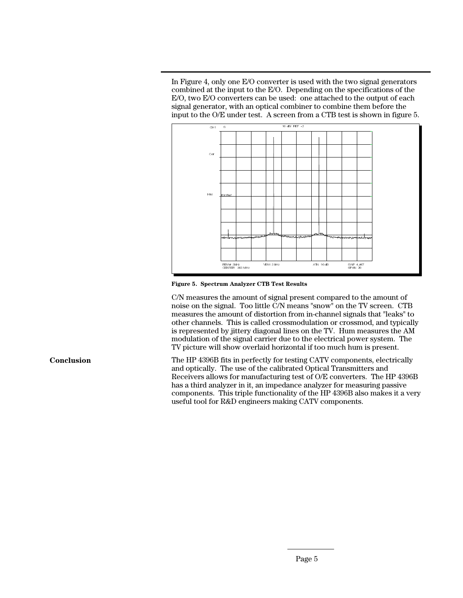In Figure 4, only one E/O converter is used with the two signal generators combined at the input to the E/O. Depending on the specifications of the E/O, two E/O converters can be used: one attached to the output of each signal generator, with an optical combiner to combine them before the input to the O/E under test. A screen from a CTB test is shown in figure 5.



**Figure 5. Spectrum Analyzer CTB Test Results**

C/N measures the amount of signal present compared to the amount of noise on the signal. Too little C/N means "snow" on the TV screen. CTB measures the amount of distortion from in-channel signals that "leaks" to other channels. This is called crossmodulation or crossmod, and typically is represented by jittery diagonal lines on the TV. Hum measures the AM modulation of the signal carrier due to the electrical power system. The TV picture will show overlaid horizontal if too much hum is present.

The HP 4396B fits in perfectly for testing CATV components, electrically and optically. The use of the calibrated Optical Transmitters and Receivers allows for manufacturing test of O/E converters. The HP 4396B has a third analyzer in it, an impedance analyzer for measuring passive components. This triple functionality of the HP 4396B also makes it a very useful tool for R&D engineers making CATV components.

**Conclusion**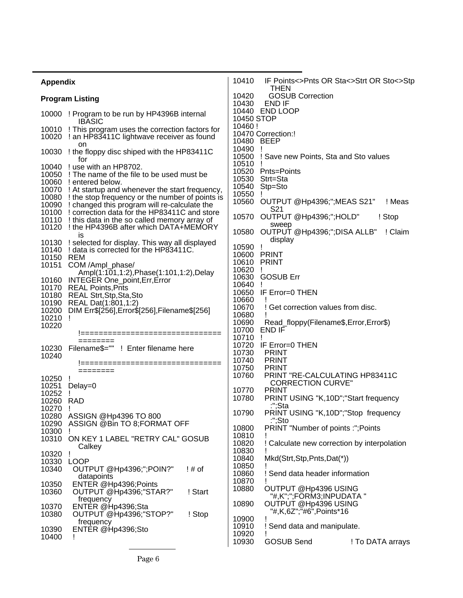| <b>Appendix</b>                                                                                                                                                                                                                                                                                                                                                                                                                                           | 10410<br>IF Points<>Pnts OR Sta<>Strt OR Sto<>Stp<br><b>THEN</b>                                                                                                                                                                                          |
|-----------------------------------------------------------------------------------------------------------------------------------------------------------------------------------------------------------------------------------------------------------------------------------------------------------------------------------------------------------------------------------------------------------------------------------------------------------|-----------------------------------------------------------------------------------------------------------------------------------------------------------------------------------------------------------------------------------------------------------|
| <b>Program Listing</b>                                                                                                                                                                                                                                                                                                                                                                                                                                    | 10420<br><b>GOSUB Correction</b><br>END IF<br>10430                                                                                                                                                                                                       |
| 10000 ! Program to be run by HP4396B internal<br><b>IBASIC</b>                                                                                                                                                                                                                                                                                                                                                                                            | 10440 END LOOP<br>10450 STOP                                                                                                                                                                                                                              |
| 10010 ! This program uses the correction factors for<br>10020 ! an HP83411C lightwave receiver as found                                                                                                                                                                                                                                                                                                                                                   | 10460!<br>10470 Correction:!<br>10480 BEEP                                                                                                                                                                                                                |
| on<br>10030 ! the floppy disc shiped with the HP83411C<br>for                                                                                                                                                                                                                                                                                                                                                                                             | 10490<br>Ţ<br>10500<br>! Save new Points, Sta and Sto values                                                                                                                                                                                              |
| 10040<br>! use with an HP8702.<br>10050<br>! The name of the file to be used must be<br>10060 ! entered below.<br>10070 ! At startup and whenever the start frequency,<br>10080 ! the stop frequency or the number of points is<br>10090<br>! changed this program will re-calculate the<br>10100 ! correction data for the HP83411C and store<br>10110 ! this data in the so called memory array of<br>10120 ! the HP4396B after which DATA+MEMORY<br>is | 10510<br>10520<br>Pnts=Points<br>10530<br>Strt=Sta<br>10540<br>Stp=Sto<br>10550<br>10560 OUTPUT @Hp4396;";MEAS S21"<br>! Meas<br>S <sub>21</sub><br>OUTPUT @Hp4396;";HOLD"<br>10570<br>! Stop<br>sweep<br>OUTPUT @Hp4396;";DISA ALLB"<br>10580<br>! Claim |
| ! selected for display. This way all displayed<br>10130<br>! data is corrected for the HP83411C.<br>10140<br>10150 REM<br>10151 COM /Ampl_phase/                                                                                                                                                                                                                                                                                                          | display<br>10590<br>Ţ<br>10600<br><b>PRINT</b><br>10610<br><b>PRINT</b><br>10620<br>Ţ                                                                                                                                                                     |
| Ampl(1:101,1:2), Phase(1:101,1:2), Delay<br>INTEGER One_point, Err, Error<br>10160<br>10170 REAL Points, Pnts<br>10180 REAL Strt, Stp, Sta, Sto<br>10190 REAL Dat(1:801,1:2)<br>10200<br>DIM Err\$[256], Error\$[256], Filename\$[256]<br>10210<br>J.                                                                                                                                                                                                     | 10630<br><b>GOSUB Err</b><br>10640<br>10650<br>IF Error=0 THEN<br>10660<br>10670<br>! Get correction values from disc.<br>10680                                                                                                                           |
| 10220<br>================================                                                                                                                                                                                                                                                                                                                                                                                                                 | 10690<br>Read_floppy(Filename\$,Error,Error\$)<br>END IF<br>10700<br>10710<br>J.                                                                                                                                                                          |
| Filename\$="" ! Enter filename here<br>10230<br>10240<br>====================<br>========                                                                                                                                                                                                                                                                                                                                                                 | 10720<br>IF Error=0 THEN<br>10730<br><b>PRINT</b><br>10740<br><b>PRINT</b><br>10750<br><b>PRINT</b>                                                                                                                                                       |
| 10250<br>10251<br>Delay=0<br>10252                                                                                                                                                                                                                                                                                                                                                                                                                        | 10760<br>PRINT "RE-CALCULATING HP83411C<br><b>CORRECTION CURVE"</b><br>10770<br><b>PRINT</b><br>PRINT USING "K,10D"; "Start frequency<br>10780                                                                                                            |
| 10260 RAD<br>10270<br>10280 ASSIGN @Hp4396 TO 800                                                                                                                                                                                                                                                                                                                                                                                                         | :";Sta<br>PRINT USING "K,10D"; "Stop frequency<br>10790<br>:";Sto                                                                                                                                                                                         |
| 10290<br>ASSIGN @Bin TO 8;FORMAT OFF<br>10300<br>10310<br>ON KEY 1 LABEL "RETRY CAL" GOSUB                                                                                                                                                                                                                                                                                                                                                                | PRINT "Number of points :"; Points<br>10800<br>10810<br>10820<br>Calculate new correction by interpolation                                                                                                                                                |
| Calkey<br>10320<br>10330<br><b>LOOP</b><br>10340<br>OUTPUT @Hp4396;";POIN?"<br>$!#$ of<br>datapoints                                                                                                                                                                                                                                                                                                                                                      | 10830<br>10840<br>Mkd(Strt, Stp, Pnts, Dat(*))<br>10850<br>10860<br>Send data header information                                                                                                                                                          |
| ENTER @Hp4396;Points<br>10350<br>10360<br>! Start<br>OUTPUT @Hp4396;"STAR?"                                                                                                                                                                                                                                                                                                                                                                               | 10870<br>OUTPUT @Hp4396 USING<br>10880<br>"#,K";";FORM3;INPUDATA "                                                                                                                                                                                        |
| frequency<br>10370<br>ENTER @Hp4396;Sta<br>10380<br>OUTPUT @Hp4396;"STOP?"<br>! Stop                                                                                                                                                                                                                                                                                                                                                                      | 10890<br>OUTPUT @Hp4396 USING<br>"#,K,6Z";"#6",Points*16<br>10900                                                                                                                                                                                         |
| frequency<br>ENTER @Hp4396;Sto<br>10390<br>10400<br>Ţ                                                                                                                                                                                                                                                                                                                                                                                                     | 10910<br>Send data and manipulate.<br>10920<br>10930<br><b>GOSUB Send</b><br>! To DATA arrays                                                                                                                                                             |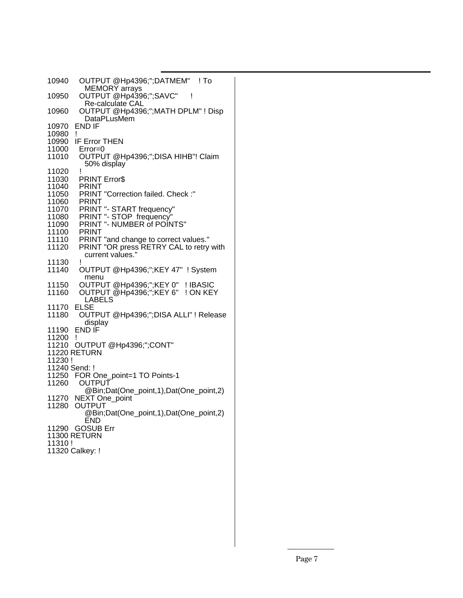| OUTPUT @Hp4396;";DATMEM" ! To<br>10940<br><b>MEMORY</b> arrays          |  |
|-------------------------------------------------------------------------|--|
| OUTPUT @Hp4396;";SAVC"<br>10950<br>ļ<br>Re-calculate CAL                |  |
| OUTPUT @Hp4396;";MATH DPLM" ! Disp<br>10960<br><b>DataPLusMem</b>       |  |
| <b>END IF</b><br>10970<br>10980<br>Ţ                                    |  |
| 10990<br>IF Error THEN                                                  |  |
| 11000<br>$Error = 0$                                                    |  |
| OUTPUT @Hp4396;";DISA HIHB"! Claim<br>11010                             |  |
| 50% display<br>Ţ<br>11020                                               |  |
| <b>PRINT Error\$</b><br>11030                                           |  |
| 11040<br>PRINT                                                          |  |
| PRINT "Correction failed. Check :"<br>11050                             |  |
| 11060<br>PRINT                                                          |  |
| PRINT "- START frequency"<br>11070                                      |  |
| PRINT "- STOP frequency"<br>11080                                       |  |
| PRINT "- NUMBER of POINTS"<br>11090                                     |  |
| 11100<br>PRINT                                                          |  |
| PRINT "and change to correct values."<br>11110<br>11120                 |  |
| PRINT "OR press RETRY CAL to retry with<br>current values."             |  |
| I<br>11130                                                              |  |
| OUTPUT @Hp4396;";KEY 47" ! System<br>11140                              |  |
| menu<br>11150<br>! IBASIC                                               |  |
| OUTPUT @Hp4396;";KEY 0"<br>OUTPUT @Hp4396;";KEY 6"<br>! ON KEY<br>11160 |  |
| <b>LABELS</b>                                                           |  |
| <b>ELSE</b><br>11170                                                    |  |
| OUTPUT @Hp4396;";DISA ALLI" ! Release<br>11180                          |  |
| display                                                                 |  |
| END IF<br>11190                                                         |  |
| 11200<br>L                                                              |  |
| 11210<br>OUTPUT @Hp4396;";CONT"<br><b>11220 RETURN</b>                  |  |
| 11230!                                                                  |  |
| 11240 Send: !                                                           |  |
| 11250<br>FOR One_point=1 TO Points-1                                    |  |
| 11260<br><b>OUTPUT</b>                                                  |  |
| @Bin;Dat(One_point,1),Dat(One_point,2)                                  |  |
| 11270<br>NEXT One_point                                                 |  |
| 11280<br><b>OUTPUT</b>                                                  |  |
| @Bin;Dat(One_point,1),Dat(One_point,2)                                  |  |
| END<br>11290 GOSUB Err                                                  |  |
| 11300 RETURN                                                            |  |
|                                                                         |  |
| 11310!                                                                  |  |